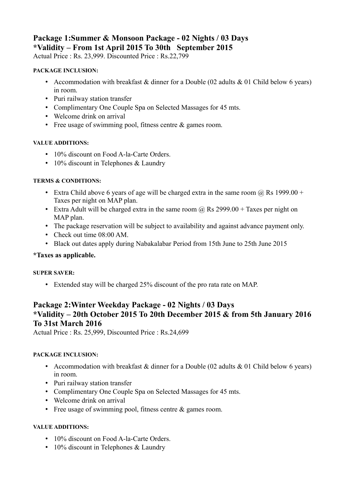# **Package 1:Summer & Monsoon Package - 02 Nights / 03 Days \*Validity – From 1st April 2015 To 30th September 2015**

Actual Price : Rs. 23,999. Discounted Price : Rs.22,799

#### **PACKAGE INCLUSION:**

- Accommodation with breakfast  $&$  dinner for a Double (02 adults  $&$  01 Child below 6 years) in room.
- Puri railway station transfer
- Complimentary One Couple Spa on Selected Massages for 45 mts.
- Welcome drink on arrival
- Free usage of swimming pool, fitness centre & games room.

#### **VALUE ADDITIONS:**

- 10% discount on Food A-la-Carte Orders.
- 10% discount in Telephones & Laundry

### **TERMS & CONDITIONS:**

- Extra Child above 6 years of age will be charged extra in the same room  $\omega$  Rs 1999.00 + Taxes per night on MAP plan.
- Extra Adult will be charged extra in the same room  $\omega$  Rs 2999.00 + Taxes per night on MAP plan.
- The package reservation will be subject to availability and against advance payment only.
- Check out time  $08:00$  AM
- Black out dates apply during Nabakalabar Period from 15th June to 25th June 2015

### **\*Taxes as applicable.**

#### **SUPER SAVER:**

• Extended stay will be charged 25% discount of the pro rata rate on MAP.

# **Package 2:Winter Weekday Package - 02 Nights / 03 Days \*Validity – 20th October 2015 To 20th December 2015 & from 5th January 2016 To 31st March 2016**

Actual Price : Rs. 25,999, Discounted Price : Rs.24,699

#### **PACKAGE INCLUSION:**

- Accommodation with breakfast & dinner for a Double (02 adults & 01 Child below 6 years) in room.
- Puri railway station transfer
- Complimentary One Couple Spa on Selected Massages for 45 mts.
- Welcome drink on arrival
- Free usage of swimming pool, fitness centre & games room.

### **VALUE ADDITIONS:**

- 10% discount on Food A-la-Carte Orders.
- 10% discount in Telephones & Laundry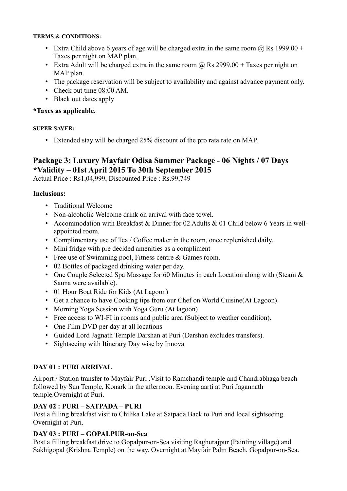#### **TERMS & CONDITIONS:**

- Extra Child above 6 years of age will be charged extra in the same room  $(a)$  Rs 1999.00 + Taxes per night on MAP plan.
- Extra Adult will be charged extra in the same room  $\omega$  Rs 2999.00 + Taxes per night on MAP plan.
- The package reservation will be subject to availability and against advance payment only.
- Check out time  $08:00$  AM.
- Black out dates apply

### **\*Taxes as applicable.**

#### **SUPER SAVER:**

• Extended stay will be charged 25% discount of the pro rata rate on MAP.

# **Package 3: Luxury Mayfair Odisa Summer Package - 06 Nights / 07 Days \*Validity – 01st April 2015 To 30th September 2015**

Actual Price : Rs1,04,999, Discounted Price : Rs.99,749

### **Inclusions:**

- Traditional Welcome
- Non-alcoholic Welcome drink on arrival with face towel
- Accommodation with Breakfast & Dinner for 02 Adults & 01 Child below 6 Years in wellappointed room.
- Complimentary use of Tea / Coffee maker in the room, once replenished daily.
- Mini fridge with pre decided amenities as a compliment
- Free use of Swimming pool, Fitness centre & Games room.
- 02 Bottles of packaged drinking water per day.
- One Couple Selected Spa Massage for 60 Minutes in each Location along with (Steam  $\&$ Sauna were available).
- 01 Hour Boat Ride for Kids (At Lagoon)
- Get a chance to have Cooking tips from our Chef on World Cuisine(At Lagoon).
- Morning Yoga Session with Yoga Guru (At lagoon)
- Free access to WI-FI in rooms and public area (Subject to weather condition).
- One Film DVD per day at all locations
- Guided Lord Jagnath Temple Darshan at Puri (Darshan excludes transfers).
- Sightseeing with Itinerary Day wise by Innova

# **DAY 01 : PURI ARRIVAL**

Airport / Station transfer to Mayfair Puri .Visit to Ramchandi temple and Chandrabhaga beach followed by Sun Temple, Konark in the afternoon. Evening aarti at Puri Jagannath temple.Overnight at Puri.

# **DAY 02 : PURI – SATPADA – PURI**

Post a filling breakfast visit to Chilika Lake at Satpada.Back to Puri and local sightseeing. Overnight at Puri.

### **DAY 03 : PURI – GOPALPUR-on-Sea**

Post a filling breakfast drive to Gopalpur-on-Sea visiting Raghurajpur (Painting village) and Sakhigopal (Krishna Temple) on the way. Overnight at Mayfair Palm Beach, Gopalpur-on-Sea.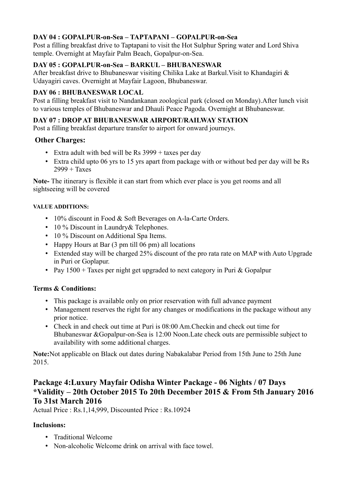# **DAY 04 : GOPALPUR-on-Sea – TAPTAPANI – GOPALPUR-on-Sea**

Post a filling breakfast drive to Taptapani to visit the Hot Sulphur Spring water and Lord Shiva temple. Overnight at Mayfair Palm Beach, Gopalpur-on-Sea.

## **DAY 05 : GOPALPUR-on-Sea – BARKUL – BHUBANESWAR**

After breakfast drive to Bhubaneswar visiting Chilika Lake at Barkul.Visit to Khandagiri & Udayagiri caves. Overnight at Mayfair Lagoon, Bhubaneswar.

### **DAY 06 : BHUBANESWAR LOCAL**

Post a filling breakfast visit to Nandankanan zoological park (closed on Monday).After lunch visit to various temples of Bhubaneswar and Dhauli Peace Pagoda. Overnight at Bhubaneswar.

# **DAY 07 : DROP AT BHUBANESWAR AIRPORT/RAILWAY STATION**

Post a filling breakfast departure transfer to airport for onward journeys.

## **Other Charges:**

- Extra adult with bed will be Rs  $3999 +$  taxes per day
- Extra child upto 06 yrs to 15 yrs apart from package with or without bed per day will be Rs  $2999 + Taxes$

**Note-** The itinerary is flexible it can start from which ever place is you get rooms and all sightseeing will be covered

#### **VALUE ADDITIONS:**

- 10% discount in Food & Soft Beverages on A-la-Carte Orders.
- 10 % Discount in Laundry & Telephones.
- 10 % Discount on Additional Spa Items.
- Happy Hours at Bar (3 pm till 06 pm) all locations
- Extended stay will be charged 25% discount of the pro rata rate on MAP with Auto Upgrade in Puri or Goplapur.
- Pay  $1500 +$  Taxes per night get upgraded to next category in Puri & Gopalpur

### **Terms & Conditions:**

- This package is available only on prior reservation with full advance payment
- Management reserves the right for any changes or modifications in the package without any prior notice.
- Check in and check out time at Puri is 08:00 Am. Checkin and check out time for Bhubaneswar &Gopalpur-on-Sea is 12:00 Noon.Late check outs are permissible subject to availability with some additional charges.

**Note:**Not applicable on Black out dates during Nabakalabar Period from 15th June to 25th June 2015.

# **Package 4:Luxury Mayfair Odisha Winter Package - 06 Nights / 07 Days \*Validity – 20th October 2015 To 20th December 2015 & From 5th January 2016 To 31st March 2016**

Actual Price : Rs.1,14,999, Discounted Price : Rs.10924

### **Inclusions:**

- Traditional Welcome
- Non-alcoholic Welcome drink on arrival with face towel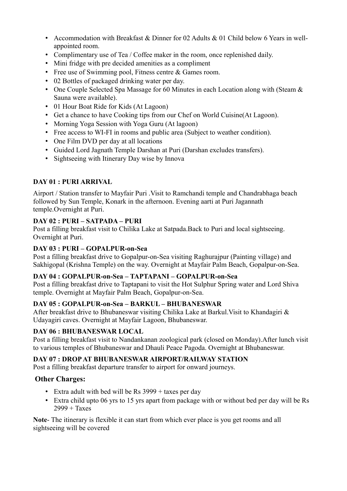- Accommodation with Breakfast & Dinner for 02 Adults & 01 Child below 6 Years in wellappointed room.
- Complimentary use of Tea / Coffee maker in the room, once replenished daily.
- Mini fridge with pre decided amenities as a compliment
- Free use of Swimming pool, Fitness centre & Games room.
- 02 Bottles of packaged drinking water per day.
- One Couple Selected Spa Massage for 60 Minutes in each Location along with (Steam  $\&$ Sauna were available).
- 01 Hour Boat Ride for Kids (At Lagoon)
- Get a chance to have Cooking tips from our Chef on World Cuisine(At Lagoon).
- Morning Yoga Session with Yoga Guru (At lagoon)
- Free access to WI-FI in rooms and public area (Subject to weather condition).
- One Film DVD per day at all locations
- Guided Lord Jagnath Temple Darshan at Puri (Darshan excludes transfers).
- Sightseeing with Itinerary Day wise by Innova

# **DAY 01 : PURI ARRIVAL**

Airport / Station transfer to Mayfair Puri .Visit to Ramchandi temple and Chandrabhaga beach followed by Sun Temple, Konark in the afternoon. Evening aarti at Puri Jagannath temple.Overnight at Puri.

# **DAY 02 : PURI – SATPADA – PURI**

Post a filling breakfast visit to Chilika Lake at Satpada.Back to Puri and local sightseeing. Overnight at Puri.

# **DAY 03 : PURI – GOPALPUR-on-Sea**

Post a filling breakfast drive to Gopalpur-on-Sea visiting Raghurajpur (Painting village) and Sakhigopal (Krishna Temple) on the way. Overnight at Mayfair Palm Beach, Gopalpur-on-Sea.

# **DAY 04 : GOPALPUR-on-Sea – TAPTAPANI – GOPALPUR-on-Sea**

Post a filling breakfast drive to Taptapani to visit the Hot Sulphur Spring water and Lord Shiva temple. Overnight at Mayfair Palm Beach, Gopalpur-on-Sea.

# **DAY 05 : GOPALPUR-on-Sea – BARKUL – BHUBANESWAR**

After breakfast drive to Bhubaneswar visiting Chilika Lake at Barkul.Visit to Khandagiri & Udayagiri caves. Overnight at Mayfair Lagoon, Bhubaneswar.

# **DAY 06 : BHUBANESWAR LOCAL**

Post a filling breakfast visit to Nandankanan zoological park (closed on Monday).After lunch visit to various temples of Bhubaneswar and Dhauli Peace Pagoda. Overnight at Bhubaneswar.

# **DAY 07 : DROP AT BHUBANESWAR AIRPORT/RAILWAY STATION**

Post a filling breakfast departure transfer to airport for onward journeys.

# **Other Charges:**

- Extra adult with bed will be Rs  $3999 +$  taxes per day
- Extra child upto 06 yrs to 15 yrs apart from package with or without bed per day will be Rs  $2999 + Taxes$

**Note**- The itinerary is flexible it can start from which ever place is you get rooms and all sightseeing will be covered